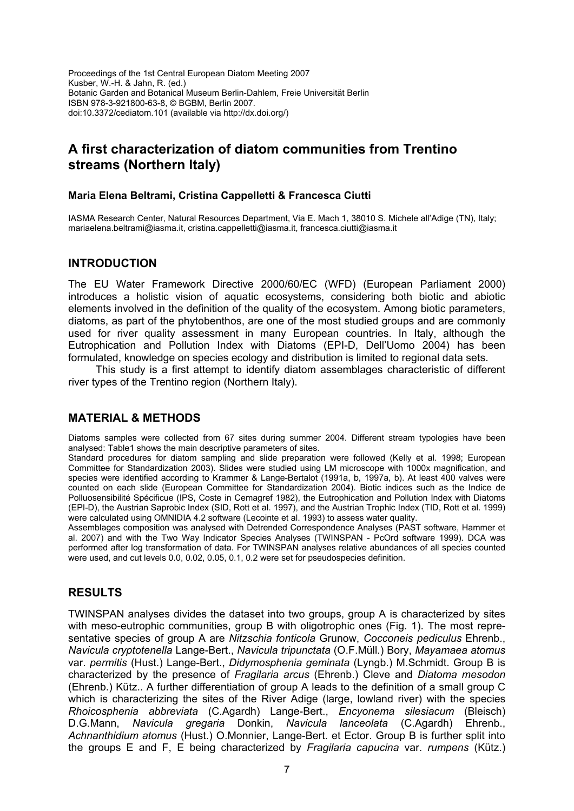Proceedings of the 1st Central European Diatom Meeting 2007 Kusber, W.-H. & Jahn, R. (ed.) Botanic Garden and Botanical Museum Berlin-Dahlem, Freie Universität Berlin ISBN 978-3-921800-63-8, © BGBM, Berlin 2007. doi:10.3372/cediatom.101 (available via http://dx.doi.org/)

# **A first characterization of diatom communities from Trentino streams (Northern Italy)**

## **Maria Elena Beltrami, Cristina Cappelletti & Francesca Ciutti**

IASMA Research Center, Natural Resources Department, Via E. Mach 1, 38010 S. Michele all'Adige (TN), Italy; mariaelena.beltrami@iasma.it, cristina.cappelletti@iasma.it, francesca.ciutti@iasma.it

### **INTRODUCTION**

The EU Water Framework Directive 2000/60/EC (WFD) (European Parliament 2000) introduces a holistic vision of aquatic ecosystems, considering both biotic and abiotic elements involved in the definition of the quality of the ecosystem. Among biotic parameters, diatoms, as part of the phytobenthos, are one of the most studied groups and are commonly used for river quality assessment in many European countries. In Italy, although the Eutrophication and Pollution Index with Diatoms (EPI-D, Dell'Uomo 2004) has been formulated, knowledge on species ecology and distribution is limited to regional data sets.

This study is a first attempt to identify diatom assemblages characteristic of different river types of the Trentino region (Northern Italy).

## **MATERIAL & METHODS**

Diatoms samples were collected from 67 sites during summer 2004. Different stream typologies have been analysed: Table1 shows the main descriptive parameters of sites.

Standard procedures for diatom sampling and slide preparation were followed (Kelly et al. 1998; European Committee for Standardization 2003). Slides were studied using LM microscope with 1000x magnification, and species were identified according to Krammer & Lange-Bertalot (1991a, b, 1997a, b). At least 400 valves were counted on each slide (European Committee for Standardization 2004). Biotic indices such as the Indice de Polluosensibilité Spécificue (IPS, Coste in Cemagref 1982), the Eutrophication and Pollution Index with Diatoms (EPI-D), the Austrian Saprobic Index (SID, Rott et al. 1997), and the Austrian Trophic Index (TID, Rott et al. 1999) were calculated using OMNIDIA 4.2 software (Lecointe et al. 1993) to assess water quality.

Assemblages composition was analysed with Detrended Correspondence Analyses (PAST software, Hammer et al. 2007) and with the Two Way Indicator Species Analyses (TWINSPAN - PcOrd software 1999). DCA was performed after log transformation of data. For TWINSPAN analyses relative abundances of all species counted were used, and cut levels 0.0, 0.02, 0.05, 0.1, 0.2 were set for pseudospecies definition.

## **RESULTS**

TWINSPAN analyses divides the dataset into two groups, group A is characterized by sites with meso-eutrophic communities, group B with oligotrophic ones (Fig. 1). The most representative species of group A are *Nitzschia fonticola* Grunow, *Cocconeis pediculus* Ehrenb., *Navicula cryptotenella* Lange-Bert., *Navicula tripunctata* (O.F.Müll.) Bory, *Mayamaea atomus* var. *permitis* (Hust.) Lange-Bert., *Didymosphenia geminata* (Lyngb.) M.Schmidt. Group B is characterized by the presence of *Fragilaria arcus* (Ehrenb.) Cleve and *Diatoma mesodon*  (Ehrenb.) Kütz.. A further differentiation of group A leads to the definition of a small group C which is characterizing the sites of the River Adige (large, lowland river) with the species *Rhoicosphenia abbreviata* (C.Agardh) Lange-Bert., *Encyonema silesiacum* (Bleisch) D.G.Mann, *Navicula gregaria* Donkin, *Navicula lanceolata* (C.Agardh) Ehrenb., *Achnanthidium atomus* (Hust.) O.Monnier, Lange-Bert. et Ector. Group B is further split into the groups E and F, E being characterized by *Fragilaria capucina* var. *rumpens* (Kütz.)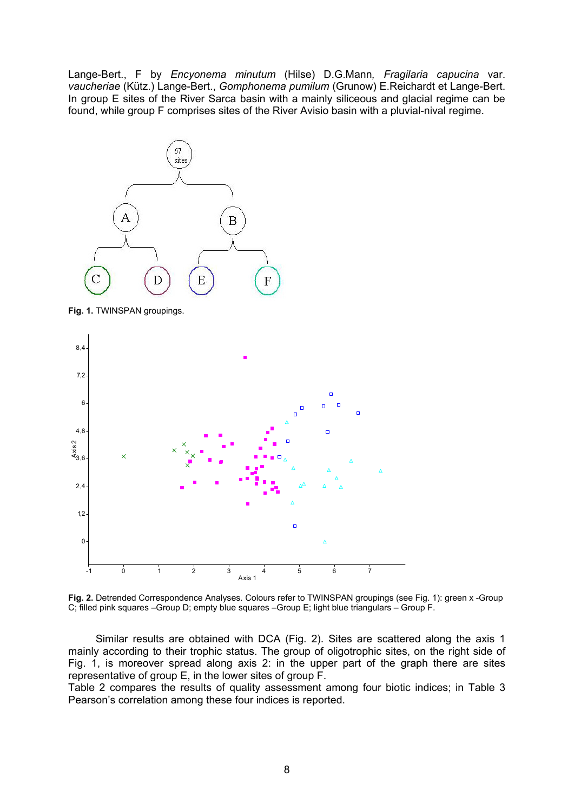Lange-Bert., F by *Encyonema minutum* (Hilse) D.G.Mann*, Fragilaria capucina* var. *vaucheriae* (Kütz.) Lange-Bert., *Gomphonema pumilum* (Grunow) E.Reichardt et Lange-Bert. In group E sites of the River Sarca basin with a mainly siliceous and glacial regime can be found, while group F comprises sites of the River Avisio basin with a pluvial-nival regime.



**Fig. 1.** TWINSPAN groupings.



**Fig. 2.** Detrended Correspondence Analyses. Colours refer to TWINSPAN groupings (see Fig. 1): green x -Group C; filled pink squares –Group D; empty blue squares –Group E; light blue triangulars – Group F.

Similar results are obtained with DCA (Fig. 2). Sites are scattered along the axis 1 mainly according to their trophic status. The group of oligotrophic sites, on the right side of Fig. 1, is moreover spread along axis 2: in the upper part of the graph there are sites representative of group E, in the lower sites of group F.

Table 2 compares the results of quality assessment among four biotic indices; in Table 3 Pearson's correlation among these four indices is reported.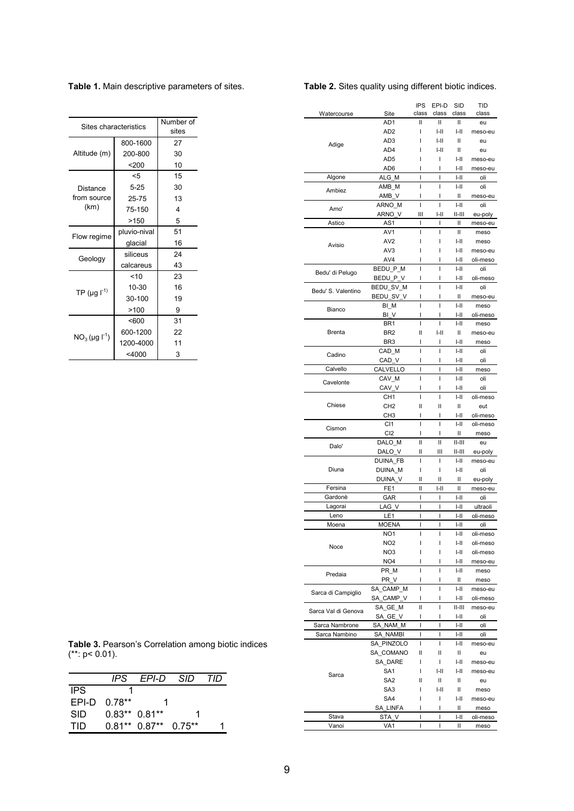| Sites characteristics         | Number of<br>sites |    |
|-------------------------------|--------------------|----|
|                               | 800-1600           | 27 |
| Altitude (m)                  | 200-800            | 30 |
|                               | 200                | 10 |
|                               | $5$                | 15 |
| Distance                      | $5 - 25$           | 30 |
| from source                   | 25-75              | 13 |
| (km)                          | 75-150             | 4  |
|                               | >150               | 5  |
| Flow regime                   | pluvio-nival       | 51 |
|                               | glacial            | 16 |
| Geology                       | siliceus           | 24 |
|                               | calcareus          | 43 |
|                               | 10                 | 23 |
| TP ( $\mu$ g l <sup>-1)</sup> | 10-30              | 16 |
|                               | 30-100             | 19 |
|                               | >100               | 9  |
|                               | < 600              | 31 |
| $NO_3$ (µg $I^1$ )            | 600-1200           | 22 |
|                               | 1200-4000          | 11 |
|                               | $<$ 4000           | 3  |

|                     | AD1             | Ш            | Ш              | Ш                  | eu       |
|---------------------|-----------------|--------------|----------------|--------------------|----------|
|                     | AD <sub>2</sub> | I            | I-II           | I-II               | meso-eu  |
|                     |                 |              |                |                    |          |
| Adige               | AD <sub>3</sub> |              | I-II           | Ш                  | eu       |
|                     | AD4             | ı            | I-II           | Ш                  | eu       |
|                     | AD5             | ı            | I              | I-II               | meso-eu  |
|                     | AD6             | ı            | ı              | $I-II$             | meso-eu  |
| Algone              | ALG M           | I            | I              | I-II               | oli      |
|                     | AMB_M           | Ī            | $\overline{1}$ | $I-II$             | oli      |
| Ambiez              | AMB_V           | ı            | ı              | Ш                  | meso-eu  |
|                     | ARNO M          | I            | I              | $\left  - \right $ | oli      |
| Arno'               | ARNO_V          | Ш            | I-II           | 11-111             | eu-poly  |
| Astico              | AS1             | I            | I              | Ш                  |          |
|                     |                 |              |                |                    | meso-eu  |
|                     | AV <sub>1</sub> | I            | I              | Ш                  | meso     |
| Avisio              | AV <sub>2</sub> | ı            | I              | I-II               | meso     |
|                     | AV <sub>3</sub> | ı            | I              | I-II               | meso-eu  |
|                     | AV4             | ı            | I              | I-II               | oli-meso |
|                     | BEDU P M        | I            | ı              | $I-II$             | oli      |
| Bedu' di Pelugo     | BEDU_P_V        | ı            | I              | I-II               | oli-meso |
|                     | BEDU_SV_M       | Ī            | I              | $I - II$           | oli      |
| Bedu' S. Valentino  | BEDU_SV_V       | I            | I              | Ш                  | meso-eu  |
|                     |                 | Ī            | Ī              |                    |          |
| Bianco              | BI M            |              |                | $I-II$             | meso     |
|                     | BI V            | ı            | ı              | I-II               | oli-meso |
|                     | BR1             | I            | I              | I-II               | meso     |
| <b>Brenta</b>       | BR <sub>2</sub> | Ш            | I-II           | Ш                  | meso-eu  |
|                     | BR <sub>3</sub> | I            | I              | I-II               | meso     |
|                     | CAD M           | ı            | ı              | $I-II$             | oli      |
| Cadino              | CAD V           | ı            | ı              | I-II               | oli      |
| Calvello            | CALVELLO        | I            | I              | $I-I$              | meso     |
|                     | CAV_M           | I            | ı              | $I-II$             | oli      |
| Cavelonte           |                 |              |                |                    |          |
|                     | CAV_V           | ı            | ı              | I-II               | oli      |
|                     | CH1             | I            | I              | $I - II$           | oli-meso |
| Chiese              | CH <sub>2</sub> | Ш            | Ш              | Ш                  | eut      |
|                     | CH <sub>3</sub> | ı            | I              | I-II               | oli-meso |
|                     | CI <sub>1</sub> | I            | I              | $I - II$           | oli-meso |
|                     |                 |              |                |                    |          |
| Cismon              |                 | ı            | ı              |                    |          |
|                     | CI <sub>2</sub> |              |                | Ш                  | meso     |
| Dalo'               | DALO M          | $\mathbf{I}$ | $\mathbf{I}$   | $  -   $           | eu       |
|                     | DALO_V          | Ш            | Ш              | 11-111             | eu-poly  |
|                     | DUINA_FB        | I            | I              | I-II               | meso-eu  |
| Diuna               | DUINA_M         | I            | I              | I-II               | oli      |
|                     | DUINA_V         | II           | Ш              | Ш                  | eu-poly  |
| Fersina             | FE <sub>1</sub> | Ш            | $I-II$         | Ш                  | meso-eu  |
| Gardonè             | GAR             | I            | T              | I-II               | oli      |
| Lagorai             | LAG V           | I            | I              | I-II               | ultraoli |
| Leno                |                 | I            | I              |                    | oli-meso |
| Moena               | LE1             | I            | I              | I-II<br>I-II       |          |
|                     | <b>MOENA</b>    |              |                |                    | oli      |
|                     | NO <sub>1</sub> | I            | I              | $I-I$              | oli-meso |
| Noce                | NO <sub>2</sub> | I            | I              | $I - II$           | oli-meso |
|                     | NO3             | I            | I              | I-II               | oli-meso |
|                     | NO <sub>4</sub> | I            | I              | I-II               | meso-eu  |
|                     | PR M            | ı            | I              | $I - II$           | meso     |
| Predaia             | PR_V            | ı            | I              | Ш                  | meso     |
|                     | SA CAMP M       | I            | I              | $\left  - \right $ | meso-eu  |
| Sarca di Campiglio  | SA CAMP V       | I            | I              | I-II               | oli-meso |
|                     |                 |              |                |                    |          |
| Sarca Val di Genova | SA GE M         | II           | ı              | 11-111             | meso-eu  |
|                     | SA GE V         | I            | I              | I-II               | oli      |
| Sarca Nambrone      | SA NAM M        | I            | I              | I-II               | oli      |
| Sarca Nambino       | SA NAMBI        | I            | ı              | $I-II$             | oli      |
|                     | SA PINZOLO      | I            | $\overline{1}$ | I-II               | meso-eu  |
|                     | SA COMANO       | Ш            | Ш              | Ш                  | eu       |
|                     | SA DARE         | I            | I              | $I-II$             | meso-eu  |
|                     | SA <sub>1</sub> | I            | $I-II$         | I-II               | meso-eu  |
| Sarca               |                 | Ш            |                |                    |          |
|                     | SA <sub>2</sub> |              | II             | Ш                  | eu       |
|                     | SA <sub>3</sub> |              | $I-II$         | Ш                  | meso     |
|                     | SA4             | I            | I              | I-II               | meso-eu  |
|                     | SA_LINFA        | I            | I              | Ш                  | meso     |
| Stava               | STA_V           | I            | T              | I-II               | oli-meso |
| Vanoi               | VA <sub>1</sub> | I            | I              | Ш                  | meso     |

Table 1. Main descriptive parameters of sites.

#### Table 2. Sites quality using different biotic indices.

Site

Watercourse

IPS EPI-D SID

class class class

TID

 $class$ 

Table 3. Pearson's Correlation among biotic indices  $(*: p < 0.01)$ .

|            | IPS      | EPI-D          | SID      | חוד |
|------------|----------|----------------|----------|-----|
| <b>IPS</b> |          |                |          |     |
| FPI-D      | $0.78**$ |                |          |     |
| <b>SID</b> |          | $0.83**0.81**$ |          |     |
| TID        | $0.81**$ | $0.87**$       | $0.75**$ |     |